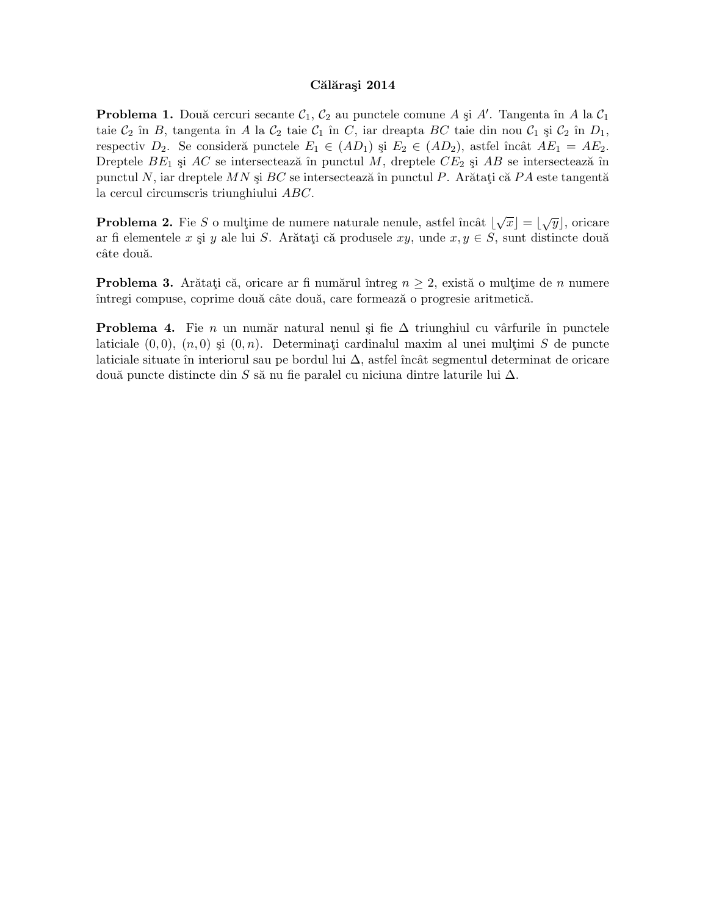## Călărași 2014

**Problema 1.** Două cercuri secante  $\mathcal{C}_1$ ,  $\mathcal{C}_2$  au punctele comune A și A'. Tangenta în A la  $\mathcal{C}_1$ taie  $C_2$  în B, tangenta în A la  $C_2$  taie  $C_1$  în C, iar dreapta BC taie din nou  $C_1$  și  $C_2$  în  $D_1$ , respectiv  $D_2$ . Se consideră punctele  $E_1 \in (AD_1)$  și  $E_2 \in (AD_2)$ , astfel încât  $AE_1 = AE_2$ . Dreptele  $BE_1$  și  $AC$  se intersectează în punctul M, dreptele  $CE_2$  și  $AB$  se intersectează în punctul N, iar dreptele MN și  $BC$  se intersectează în punctul P. Arătați că PA este tangentă la cercul circumscris triunghiului ABC.

**Problema 2.** Fie S o mulțime de numere naturale nenule, astfel încât  $|\sqrt{x}| = |\sqrt{y}|$ , oricare ar fi elementele x și y ale lui S. Arătați că produsele xy, unde  $x, y \in S$ , sunt distincte două câte două.

**Problema 3.** Arătați că, oricare ar fi numărul întreg  $n \geq 2$ , există o mulțime de *n* numere întregi compuse, coprime două câte două, care formează o progresie aritmetică.

**Problema 4.** Fie *n* un număr natural nenul și fie  $\Delta$  triunghiul cu vârfurile în punctele laticiale  $(0, 0)$ ,  $(n, 0)$  și  $(0, n)$ . Determinați cardinalul maxim al unei multimi S de puncte laticiale situate în interiorul sau pe bordul lui  $\Delta$ , astfel încât segmentul determinat de oricare două puncte distincte din S să nu fie paralel cu niciuna dintre laturile lui  $\Delta$ .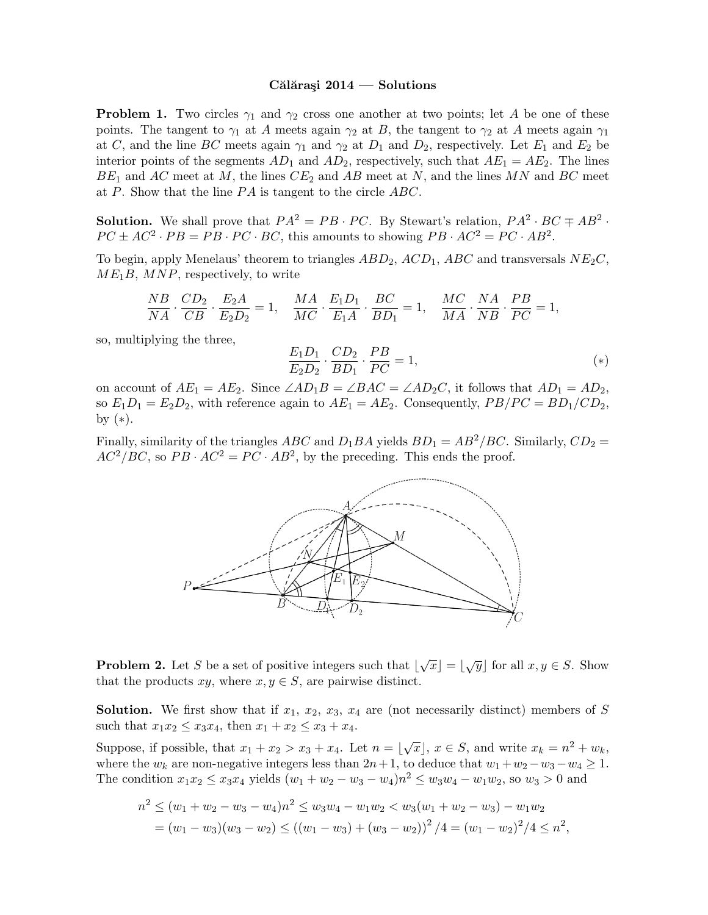## Călărași  $2014$  — Solutions

**Problem 1.** Two circles  $\gamma_1$  and  $\gamma_2$  cross one another at two points; let A be one of these points. The tangent to  $\gamma_1$  at A meets again  $\gamma_2$  at B, the tangent to  $\gamma_2$  at A meets again  $\gamma_1$ at C, and the line BC meets again  $\gamma_1$  and  $\gamma_2$  at  $D_1$  and  $D_2$ , respectively. Let  $E_1$  and  $E_2$  be interior points of the segments  $AD_1$  and  $AD_2$ , respectively, such that  $AE_1 = AE_2$ . The lines  $BE_1$  and AC meet at M, the lines  $CE_2$  and AB meet at N, and the lines MN and BC meet at P. Show that the line  $PA$  is tangent to the circle  $ABC$ .

**Solution.** We shall prove that  $PA^2 = PB \cdot PC$ . By Stewart's relation,  $PA^2 \cdot BC \mp AB^2$ .  $PC \pm AC^2 \cdot PB = PB \cdot PC \cdot BC$ , this amounts to showing  $PB \cdot AC^2 = PC \cdot AB^2$ .

To begin, apply Menelaus' theorem to triangles  $ABD_2$ ,  $ACD_1$ ,  $ABC$  and transversals  $NE_2C$ ,  $ME_1B$ ,  $MNP$ , respectively, to write

$$
\frac{NB}{NA} \cdot \frac{CD_2}{CB} \cdot \frac{E_2A}{E_2D_2} = 1, \quad \frac{MA}{MC} \cdot \frac{E_1D_1}{E_1A} \cdot \frac{BC}{BD_1} = 1, \quad \frac{MC}{MA} \cdot \frac{NA}{NB} \cdot \frac{PB}{PC} = 1,
$$

so, multiplying the three,

$$
\frac{E_1 D_1}{E_2 D_2} \cdot \frac{CD_2}{BD_1} \cdot \frac{PB}{PC} = 1,
$$
\n<sup>(\*)</sup>

on account of  $AE_1 = AE_2$ . Since  $\angle AD_1B = \angle BAC = \angle AD_2C$ , it follows that  $AD_1 = AD_2$ , so  $E_1D_1 = E_2D_2$ , with reference again to  $AE_1 = AE_2$ . Consequently,  $PB/PC = BD_1/CD_2$ , by  $(*).$ 

Finally, similarity of the triangles ABC and  $D_1BA$  yields  $BD_1 = AB^2/BC$ . Similarly,  $CD_2 =$  $AC^2/BC$ , so  $PB \cdot AC^2 = PC \cdot AB^2$ , by the preceding. This ends the proof.



**Problem 2.** Let S be a set of positive integers such that  $|\sqrt{x}| = |\sqrt{y}|$  for all  $x, y \in S$ . Show that the products  $xy$ , where  $x, y \in S$ , are pairwise distinct.

**Solution.** We first show that if  $x_1, x_2, x_3, x_4$  are (not necessarily distinct) members of S such that  $x_1x_2 \leq x_3x_4$ , then  $x_1 + x_2 \leq x_3 + x_4$ .

Suppose, if possible, that  $x_1 + x_2 > x_3 + x_4$ . Let  $n = \lfloor \sqrt{x} \rfloor$ ,  $x \in S$ , and write  $x_k = n^2 + w_k$ , where the  $w_k$  are non-negative integers less than  $2n+1$ , to deduce that  $w_1 + w_2 - w_3 - w_4 \ge 1$ . The condition  $x_1x_2 \le x_3x_4$  yields  $(w_1 + w_2 - w_3 - w_4)n^2 \le w_3w_4 - w_1w_2$ , so  $w_3 > 0$  and

$$
n^{2} \leq (w_{1} + w_{2} - w_{3} - w_{4})n^{2} \leq w_{3}w_{4} - w_{1}w_{2} < w_{3}(w_{1} + w_{2} - w_{3}) - w_{1}w_{2}
$$
\n
$$
= (w_{1} - w_{3})(w_{3} - w_{2}) \leq ((w_{1} - w_{3}) + (w_{3} - w_{2}))^{2}/4 = (w_{1} - w_{2})^{2}/4 \leq n^{2},
$$